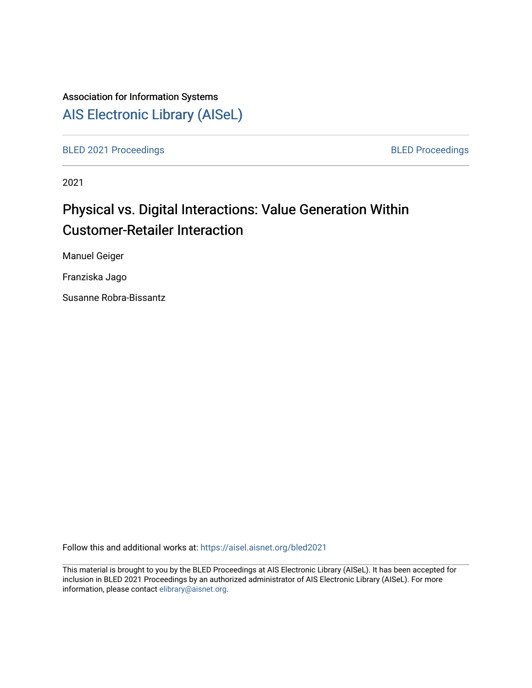# Association for Information Systems

# [AIS Electronic Library \(AISeL\)](https://aisel.aisnet.org/)

[BLED 2021 Proceedings](https://aisel.aisnet.org/bled2021) **BLED Proceedings** 

2021

# Physical vs. Digital Interactions: Value Generation Within Customer-Retailer Interaction

Manuel Geiger

Franziska Jago

Susanne Robra-Bissantz

Follow this and additional works at: [https://aisel.aisnet.org/bled2021](https://aisel.aisnet.org/bled2021?utm_source=aisel.aisnet.org%2Fbled2021%2F7&utm_medium=PDF&utm_campaign=PDFCoverPages) 

This material is brought to you by the BLED Proceedings at AIS Electronic Library (AISeL). It has been accepted for inclusion in BLED 2021 Proceedings by an authorized administrator of AIS Electronic Library (AISeL). For more information, please contact [elibrary@aisnet.org.](mailto:elibrary@aisnet.org%3E)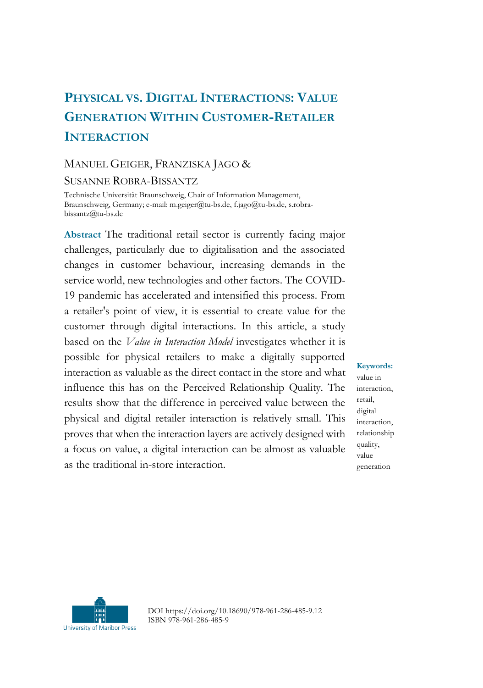# **PHYSICAL VS. DIGITAL INTERACTIONS: VALUE GENERATION WITHIN CUSTOMER-RETAILER INTERACTION**

#### MANUEL GEIGER, FRANZISKA JAGO &

SUSANNE ROBRA-BISSANTZ

Technische Universität Braunschweig, Chair of Information Management, Braunschweig, Germany; e-mail: m.geiger@tu-bs.de, f.jago@tu-bs.de, s.robrabissantz@tu-bs.de

**Abstract** The traditional retail sector is currently facing major challenges, particularly due to digitalisation and the associated changes in customer behaviour, increasing demands in the service world, new technologies and other factors. The COVID-19 pandemic has accelerated and intensified this process. From a retailer's point of view, it is essential to create value for the customer through digital interactions. In this article, a study based on the *Value in Interaction Model* investigates whether it is possible for physical retailers to make a digitally supported interaction as valuable as the direct contact in the store and what influence this has on the Perceived Relationship Quality. The results show that the difference in perceived value between the physical and digital retailer interaction is relatively small. This proves that when the interaction layers are actively designed with a focus on value, a digital interaction can be almost as valuable as the traditional in-store interaction.

**Keywords:** value in interaction, retail, digital interaction, relationship quality, value generation



DOI https://doi.org/10.18690/978-961-286-485-9.12 ISBN 978-961-286-485-9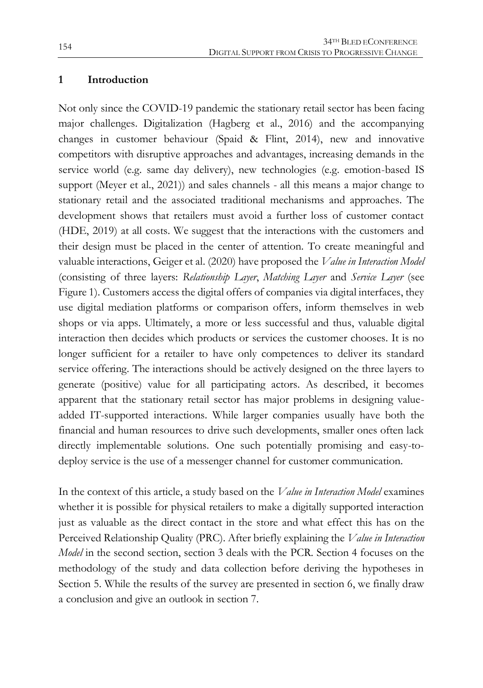#### **1 Introduction**

Not only since the COVID-19 pandemic the stationary retail sector has been facing major challenges. Digitalization (Hagberg et al., 2016) and the accompanying changes in customer behaviour (Spaid & Flint, 2014), new and innovative competitors with disruptive approaches and advantages, increasing demands in the service world (e.g. same day delivery), new technologies (e.g. emotion-based IS support (Meyer et al., 2021)) and sales channels - all this means a major change to stationary retail and the associated traditional mechanisms and approaches. The development shows that retailers must avoid a further loss of customer contact (HDE, 2019) at all costs. We suggest that the interactions with the customers and their design must be placed in the center of attention. To create meaningful and valuable interactions, Geiger et al. (2020) have proposed the *Value in Interaction Model* (consisting of three layers: *Relationship Layer*, *Matching Layer* and *Service Layer* (see Figure 1). Customers access the digital offers of companies via digital interfaces, they use digital mediation platforms or comparison offers, inform themselves in web shops or via apps. Ultimately, a more or less successful and thus, valuable digital interaction then decides which products or services the customer chooses. It is no longer sufficient for a retailer to have only competences to deliver its standard service offering. The interactions should be actively designed on the three layers to generate (positive) value for all participating actors. As described, it becomes apparent that the stationary retail sector has major problems in designing valueadded IT-supported interactions. While larger companies usually have both the financial and human resources to drive such developments, smaller ones often lack directly implementable solutions. One such potentially promising and easy-todeploy service is the use of a messenger channel for customer communication.

In the context of this article, a study based on the *Value in Interaction Model* examines whether it is possible for physical retailers to make a digitally supported interaction just as valuable as the direct contact in the store and what effect this has on the Perceived Relationship Quality (PRC). After briefly explaining the *Value in Interaction Model* in the second section, section 3 deals with the PCR. Section 4 focuses on the methodology of the study and data collection before deriving the hypotheses in Section 5. While the results of the survey are presented in section 6, we finally draw a conclusion and give an outlook in section 7.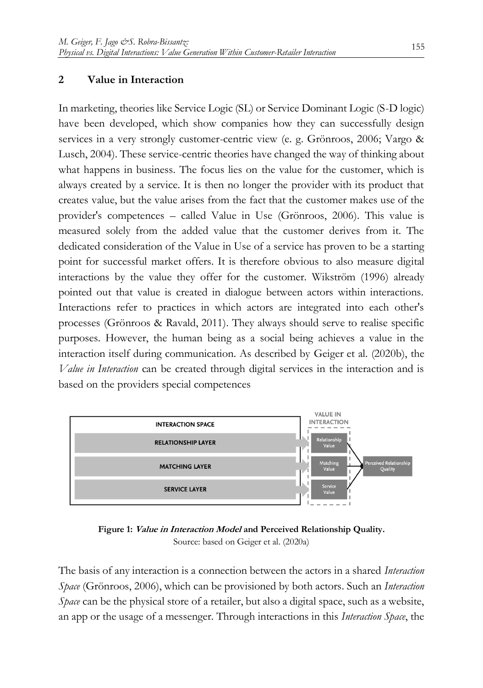#### **2 Value in Interaction**

In marketing, theories like Service Logic (SL) or Service Dominant Logic (S-D logic) have been developed, which show companies how they can successfully design services in a very strongly customer-centric view (e. g. Grönroos, 2006; Vargo & Lusch, 2004). These service-centric theories have changed the way of thinking about what happens in business. The focus lies on the value for the customer, which is always created by a service. It is then no longer the provider with its product that creates value, but the value arises from the fact that the customer makes use of the provider's competences – called Value in Use (Grönroos, 2006). This value is measured solely from the added value that the customer derives from it. The dedicated consideration of the Value in Use of a service has proven to be a starting point for successful market offers. It is therefore obvious to also measure digital interactions by the value they offer for the customer. Wikström (1996) already pointed out that value is created in dialogue between actors within interactions. Interactions refer to practices in which actors are integrated into each other's processes (Grönroos & Ravald, 2011). They always should serve to realise specific purposes. However, the human being as a social being achieves a value in the interaction itself during communication. As described by Geiger et al. (2020b), the *Value in Interaction* can be created through digital services in the interaction and is based on the providers special competences



**Figure 1: Value in Interaction Model and Perceived Relationship Quality.**  Source: based on Geiger et al. (2020a)

The basis of any interaction is a connection between the actors in a shared *Interaction Space* (Grönroos, 2006), which can be provisioned by both actors. Such an *Interaction Space* can be the physical store of a retailer, but also a digital space, such as a website, an app or the usage of a messenger. Through interactions in this *Interaction Space*, the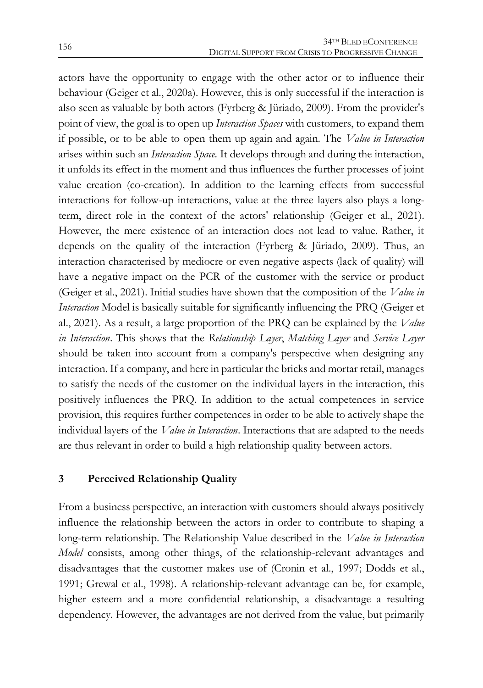actors have the opportunity to engage with the other actor or to influence their behaviour (Geiger et al., 2020a). However, this is only successful if the interaction is also seen as valuable by both actors (Fyrberg & Jüriado, 2009). From the provider's point of view, the goal is to open up *Interaction Spaces* with customers, to expand them if possible, or to be able to open them up again and again. The *Value in Interaction* arises within such an *Interaction Space*. It develops through and during the interaction, it unfolds its effect in the moment and thus influences the further processes of joint value creation (co-creation). In addition to the learning effects from successful interactions for follow-up interactions, value at the three layers also plays a longterm, direct role in the context of the actors' relationship (Geiger et al., 2021). However, the mere existence of an interaction does not lead to value. Rather, it depends on the quality of the interaction (Fyrberg & Jüriado, 2009). Thus, an interaction characterised by mediocre or even negative aspects (lack of quality) will have a negative impact on the PCR of the customer with the service or product (Geiger et al., 2021). Initial studies have shown that the composition of the *Value in Interaction* Model is basically suitable for significantly influencing the PRQ (Geiger et al., 2021). As a result, a large proportion of the PRQ can be explained by the *Value in Interaction*. This shows that the *Relationship Layer*, *Matching Layer* and *Service Layer* should be taken into account from a company's perspective when designing any interaction. If a company, and here in particular the bricks and mortar retail, manages to satisfy the needs of the customer on the individual layers in the interaction, this positively influences the PRQ. In addition to the actual competences in service provision, this requires further competences in order to be able to actively shape the individual layers of the *Value in Interaction*. Interactions that are adapted to the needs are thus relevant in order to build a high relationship quality between actors.

#### **3 Perceived Relationship Quality**

From a business perspective, an interaction with customers should always positively influence the relationship between the actors in order to contribute to shaping a long-term relationship. The Relationship Value described in the *Value in Interaction Model* consists, among other things, of the relationship-relevant advantages and disadvantages that the customer makes use of (Cronin et al., 1997; Dodds et al., 1991; Grewal et al., 1998). A relationship-relevant advantage can be, for example, higher esteem and a more confidential relationship, a disadvantage a resulting dependency. However, the advantages are not derived from the value, but primarily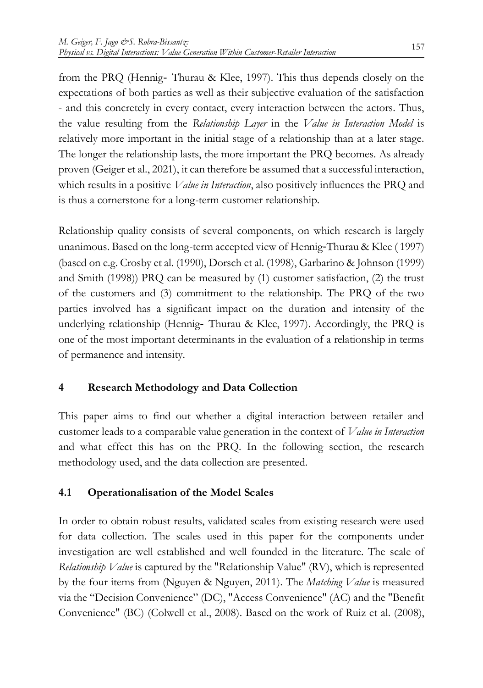from the PRQ (Hennig‐ Thurau & Klee, 1997). This thus depends closely on the expectations of both parties as well as their subjective evaluation of the satisfaction - and this concretely in every contact, every interaction between the actors. Thus, the value resulting from the *Relationship Layer* in the *Value in Interaction Model* is relatively more important in the initial stage of a relationship than at a later stage. The longer the relationship lasts, the more important the PRQ becomes. As already proven (Geiger et al., 2021), it can therefore be assumed that a successful interaction, which results in a positive *Value in Interaction*, also positively influences the PRQ and is thus a cornerstone for a long-term customer relationship.

Relationship quality consists of several components, on which research is largely unanimous. Based on the long-term accepted view of Hennig‐Thurau & Klee ( 1997) (based on e.g. Crosby et al. (1990), Dorsch et al. (1998), Garbarino & Johnson (1999) and Smith (1998)) PRQ can be measured by (1) customer satisfaction, (2) the trust of the customers and (3) commitment to the relationship. The PRQ of the two parties involved has a significant impact on the duration and intensity of the underlying relationship (Hennig-Thurau & Klee, 1997). Accordingly, the PRQ is one of the most important determinants in the evaluation of a relationship in terms of permanence and intensity.

## **4 Research Methodology and Data Collection**

This paper aims to find out whether a digital interaction between retailer and customer leads to a comparable value generation in the context of *Value in Interaction* and what effect this has on the PRQ. In the following section, the research methodology used, and the data collection are presented.

## **4.1 Operationalisation of the Model Scales**

In order to obtain robust results, validated scales from existing research were used for data collection. The scales used in this paper for the components under investigation are well established and well founded in the literature. The scale of *Relationship Value* is captured by the "Relationship Value" (RV), which is represented by the four items from (Nguyen & Nguyen, 2011). The *Matching Value* is measured via the "Decision Convenience" (DC), "Access Convenience" (AC) and the "Benefit Convenience" (BC) (Colwell et al., 2008). Based on the work of Ruiz et al. (2008),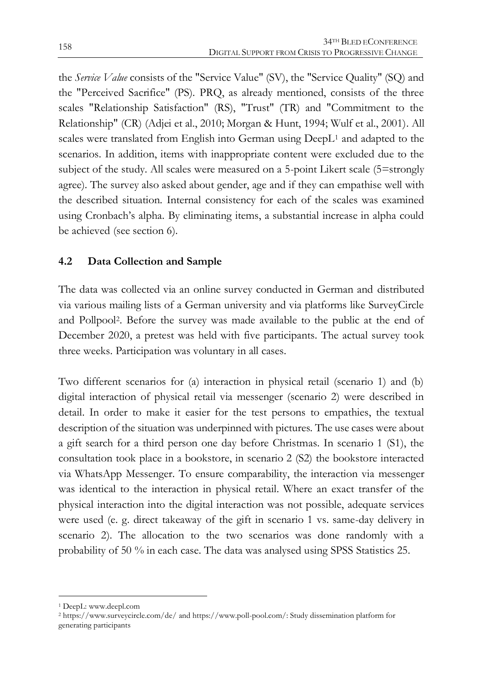the *Service Value* consists of the "Service Value" (SV), the "Service Quality" (SQ) and the "Perceived Sacrifice" (PS). PRQ, as already mentioned, consists of the three scales "Relationship Satisfaction" (RS), "Trust" (TR) and "Commitment to the Relationship" (CR) (Adjei et al., 2010; Morgan & Hunt, 1994; Wulf et al., 2001). All scales were translated from English into German using DeepL<sup>1</sup> and adapted to the scenarios. In addition, items with inappropriate content were excluded due to the subject of the study. All scales were measured on a 5-point Likert scale (5=strongly agree). The survey also asked about gender, age and if they can empathise well with the described situation. Internal consistency for each of the scales was examined using Cronbach's alpha. By eliminating items, a substantial increase in alpha could be achieved (see section 6).

## **4.2 Data Collection and Sample**

The data was collected via an online survey conducted in German and distributed via various mailing lists of a German university and via platforms like SurveyCircle and Pollpool2. Before the survey was made available to the public at the end of December 2020, a pretest was held with five participants. The actual survey took three weeks. Participation was voluntary in all cases.

Two different scenarios for (a) interaction in physical retail (scenario 1) and (b) digital interaction of physical retail via messenger (scenario 2) were described in detail. In order to make it easier for the test persons to empathies, the textual description of the situation was underpinned with pictures. The use cases were about a gift search for a third person one day before Christmas. In scenario 1 (S1), the consultation took place in a bookstore, in scenario 2 (S2) the bookstore interacted via WhatsApp Messenger. To ensure comparability, the interaction via messenger was identical to the interaction in physical retail. Where an exact transfer of the physical interaction into the digital interaction was not possible, adequate services were used (e. g. direct takeaway of the gift in scenario 1 vs. same-day delivery in scenario 2). The allocation to the two scenarios was done randomly with a probability of 50 % in each case. The data was analysed using SPSS Statistics 25.

1

<sup>1</sup> DeepL: www.deepl.com

<sup>2</sup> https://www.surveycircle.com/de/ and https://www.poll-pool.com/: Study dissemination platform for generating participants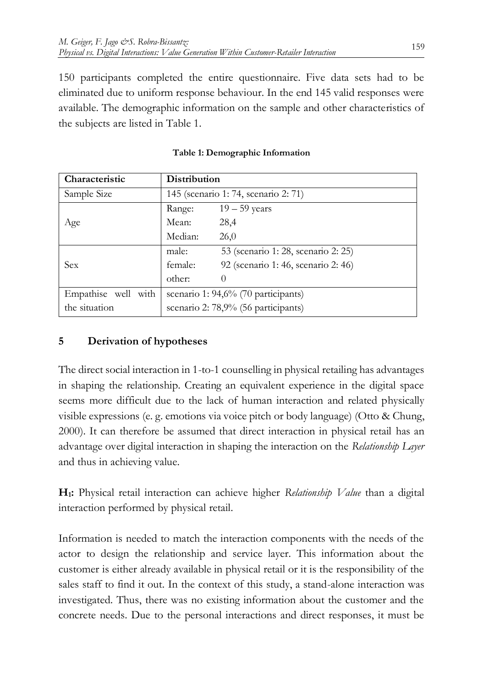150 participants completed the entire questionnaire. Five data sets had to be eliminated due to uniform response behaviour. In the end 145 valid responses were available. The demographic information on the sample and other characteristics of the subjects are listed in Table 1.

| Characteristic      | Distribution                         |                                     |  |  |  |
|---------------------|--------------------------------------|-------------------------------------|--|--|--|
| Sample Size         | 145 (scenario 1: 74, scenario 2: 71) |                                     |  |  |  |
|                     | Range:                               | $19-59$ years                       |  |  |  |
| Age                 | Mean:                                | 28,4                                |  |  |  |
|                     | Median:                              | 26,0                                |  |  |  |
|                     | male:                                | 53 (scenario 1: 28, scenario 2: 25) |  |  |  |
| Sex                 | female:                              | 92 (scenario 1: 46, scenario 2: 46) |  |  |  |
|                     | other:                               | $\theta$                            |  |  |  |
| Empathise well with | scenario 1: 94,6% (70 participants)  |                                     |  |  |  |
| the situation       | scenario 2: 78,9% (56 participants)  |                                     |  |  |  |

| Table 1: Demographic Information |  |
|----------------------------------|--|
|----------------------------------|--|

## **5 Derivation of hypotheses**

The direct social interaction in 1-to-1 counselling in physical retailing has advantages in shaping the relationship. Creating an equivalent experience in the digital space seems more difficult due to the lack of human interaction and related physically visible expressions (e. g. emotions via voice pitch or body language) (Otto & Chung, 2000). It can therefore be assumed that direct interaction in physical retail has an advantage over digital interaction in shaping the interaction on the *Relationship Layer* and thus in achieving value.

**H1:** Physical retail interaction can achieve higher *Relationship Value* than a digital interaction performed by physical retail.

Information is needed to match the interaction components with the needs of the actor to design the relationship and service layer. This information about the customer is either already available in physical retail or it is the responsibility of the sales staff to find it out. In the context of this study, a stand-alone interaction was investigated. Thus, there was no existing information about the customer and the concrete needs. Due to the personal interactions and direct responses, it must be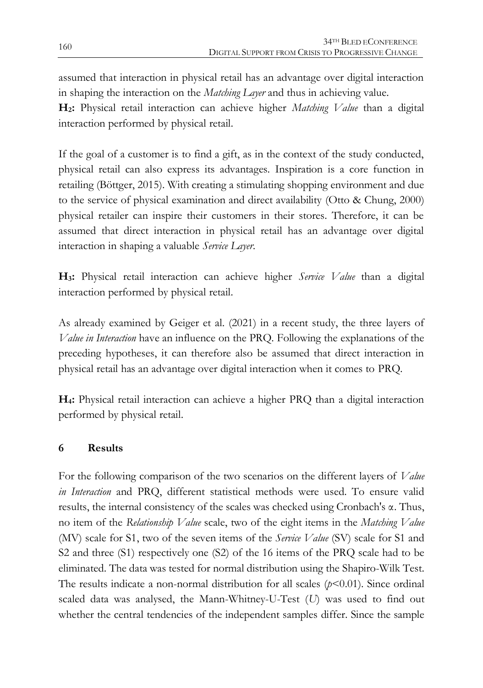assumed that interaction in physical retail has an advantage over digital interaction in shaping the interaction on the *Matching Layer* and thus in achieving value.

**H2:** Physical retail interaction can achieve higher *Matching Value* than a digital interaction performed by physical retail.

If the goal of a customer is to find a gift, as in the context of the study conducted, physical retail can also express its advantages. Inspiration is a core function in retailing (Böttger, 2015). With creating a stimulating shopping environment and due to the service of physical examination and direct availability (Otto & Chung, 2000) physical retailer can inspire their customers in their stores. Therefore, it can be assumed that direct interaction in physical retail has an advantage over digital interaction in shaping a valuable *Service Layer*.

**H3:** Physical retail interaction can achieve higher *Service Value* than a digital interaction performed by physical retail.

As already examined by Geiger et al. (2021) in a recent study, the three layers of *Value in Interaction* have an influence on the PRQ. Following the explanations of the preceding hypotheses, it can therefore also be assumed that direct interaction in physical retail has an advantage over digital interaction when it comes to PRQ*.*

**H4:** Physical retail interaction can achieve a higher PRQ than a digital interaction performed by physical retail.

## **6 Results**

For the following comparison of the two scenarios on the different layers of *Value in Interaction* and PRQ, different statistical methods were used. To ensure valid results, the internal consistency of the scales was checked using Cronbach's α. Thus, no item of the *Relationship Value* scale, two of the eight items in the *Matching Value* (MV) scale for S1, two of the seven items of the *Service Value* (SV) scale for S1 and S2 and three (S1) respectively one (S2) of the 16 items of the PRQ scale had to be eliminated. The data was tested for normal distribution using the Shapiro-Wilk Test. The results indicate a non-normal distribution for all scales  $(p<0.01)$ . Since ordinal scaled data was analysed, the Mann-Whitney-U-Test (*U*) was used to find out whether the central tendencies of the independent samples differ. Since the sample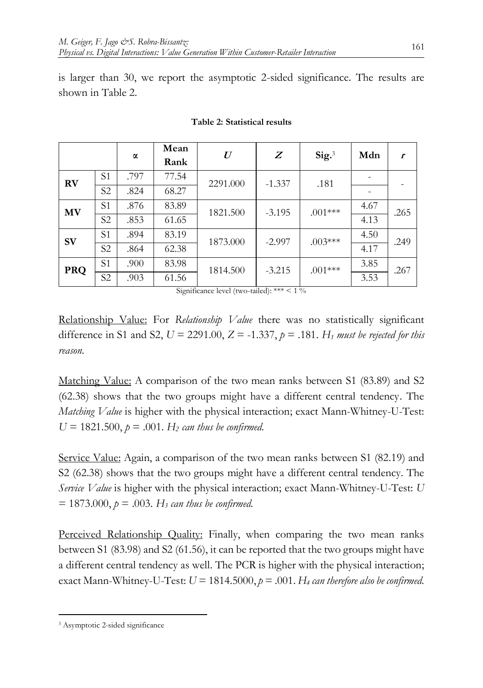is larger than 30, we report the asymptotic 2-sided significance. The results are shown in Table 2.

|            |                | α    | Mean<br>Rank | $\boldsymbol{U}$ | Z        | Sig.3     | Mdn  | $\mathbf{r}$ |
|------------|----------------|------|--------------|------------------|----------|-----------|------|--------------|
| <b>RV</b>  | S1             | .797 | 77.54        | 2291.000         | $-1.337$ | .181      |      |              |
|            | S <sub>2</sub> | .824 | 68.27        |                  |          |           |      |              |
| MV         | S1             | .876 | 83.89        | 1821.500         | $-3.195$ | $.001***$ | 4.67 | .265         |
|            | S2             | .853 | 61.65        |                  |          |           | 4.13 |              |
| <b>SV</b>  | S1             | .894 | 83.19        | 1873.000         | $-2.997$ | $.003***$ | 4.50 | .249         |
|            | S <sub>2</sub> | .864 | 62.38        |                  |          |           | 4.17 |              |
| <b>PRQ</b> | S1             | .900 | 83.98        | 1814.500         | $-3.215$ | $.001***$ | 3.85 | .267         |
|            | S <sub>2</sub> | .903 | 61.56        |                  |          |           | 3.53 |              |

#### **Table 2: Statistical results**

Significance level (two-tailed): \*\*\*  $\leq 1\%$ 

Relationship Value: For *Relationship Value* there was no statistically significant difference in S1 and S2,  $U = 2291.00$ ,  $Z = -1.337$ ,  $p = .181$ . *H<sub>1</sub> must be rejected for this reason.*

Matching Value: A comparison of the two mean ranks between S1 (83.89) and S2 (62.38) shows that the two groups might have a different central tendency. The *Matching Value* is higher with the physical interaction; exact Mann-Whitney-U-Test:  $U = 1821.500, p = .001$ . *H<sub>2</sub> can thus be confirmed.* 

Service Value: Again, a comparison of the two mean ranks between S1 (82.19) and S2 (62.38) shows that the two groups might have a different central tendency. The *Service Value* is higher with the physical interaction; exact Mann-Whitney-U-Test: *U*  $= 1873.000, p = .003$ . H<sub>3</sub> can thus be confirmed.

Perceived Relationship Quality: Finally, when comparing the two mean ranks between S1 (83.98) and S2 (61.56), it can be reported that the two groups might have a different central tendency as well. The PCR is higher with the physical interaction; exact Mann-Whitney-U-Test:  $U = 1814.5000$ ,  $p = .001$ .  $H_4$  *can therefore also be confirmed.* 

1

<sup>3</sup> Asymptotic 2-sided significance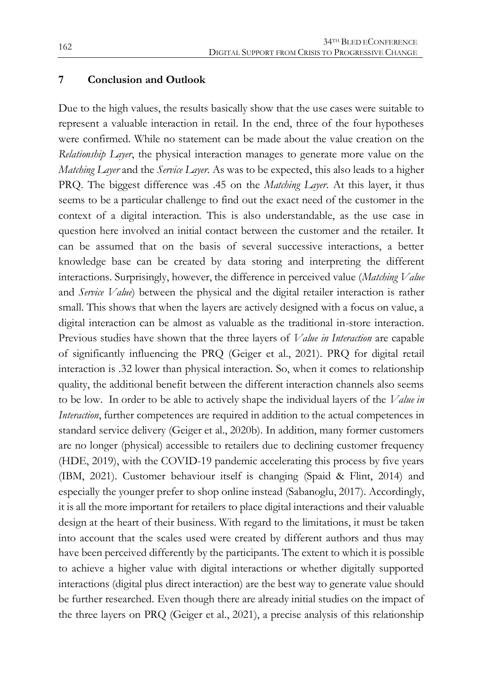#### **7 Conclusion and Outlook**

Due to the high values, the results basically show that the use cases were suitable to represent a valuable interaction in retail. In the end, three of the four hypotheses were confirmed. While no statement can be made about the value creation on the *Relationship Layer*, the physical interaction manages to generate more value on the *Matching Layer* and the *Service Layer*. As was to be expected, this also leads to a higher PRQ. The biggest difference was .45 on the *Matching Layer*. At this layer, it thus seems to be a particular challenge to find out the exact need of the customer in the context of a digital interaction. This is also understandable, as the use case in question here involved an initial contact between the customer and the retailer. It can be assumed that on the basis of several successive interactions, a better knowledge base can be created by data storing and interpreting the different interactions. Surprisingly, however, the difference in perceived value (*Matching Value* and *Service Value*) between the physical and the digital retailer interaction is rather small. This shows that when the layers are actively designed with a focus on value, a digital interaction can be almost as valuable as the traditional in-store interaction. Previous studies have shown that the three layers of *Value in Interaction* are capable of significantly influencing the PRQ (Geiger et al., 2021). PRQ for digital retail interaction is .32 lower than physical interaction. So, when it comes to relationship quality, the additional benefit between the different interaction channels also seems to be low. In order to be able to actively shape the individual layers of the *Value in Interaction*, further competences are required in addition to the actual competences in standard service delivery (Geiger et al., 2020b). In addition, many former customers are no longer (physical) accessible to retailers due to declining customer frequency (HDE, 2019), with the COVID-19 pandemic accelerating this process by five years (IBM, 2021). Customer behaviour itself is changing (Spaid & Flint, 2014) and especially the younger prefer to shop online instead (Sabanoglu, 2017). Accordingly, it is all the more important for retailers to place digital interactions and their valuable design at the heart of their business. With regard to the limitations, it must be taken into account that the scales used were created by different authors and thus may have been perceived differently by the participants. The extent to which it is possible to achieve a higher value with digital interactions or whether digitally supported interactions (digital plus direct interaction) are the best way to generate value should be further researched. Even though there are already initial studies on the impact of the three layers on PRQ (Geiger et al., 2021), a precise analysis of this relationship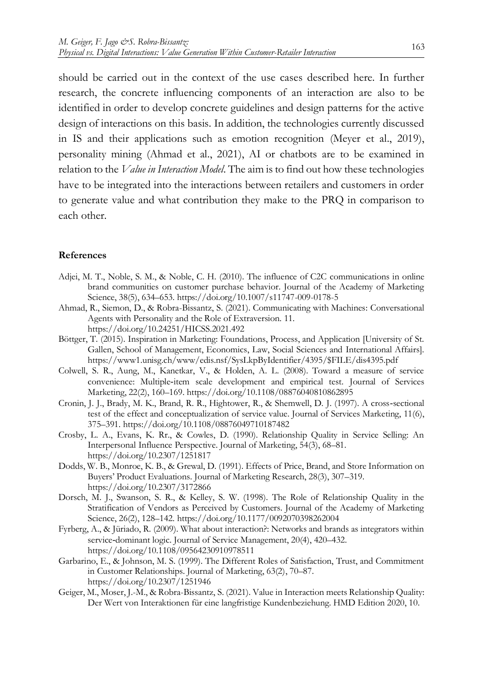should be carried out in the context of the use cases described here. In further research, the concrete influencing components of an interaction are also to be identified in order to develop concrete guidelines and design patterns for the active design of interactions on this basis. In addition, the technologies currently discussed in IS and their applications such as emotion recognition (Meyer et al., 2019), personality mining (Ahmad et al., 2021), AI or chatbots are to be examined in relation to the *Value in Interaction Model*. The aim is to find out how these technologies have to be integrated into the interactions between retailers and customers in order to generate value and what contribution they make to the PRQ in comparison to each other.

#### **References**

- Adjei, M. T., Noble, S. M., & Noble, C. H. (2010). The influence of C2C communications in online brand communities on customer purchase behavior. Journal of the Academy of Marketing Science, 38(5), 634–653. https://doi.org/10.1007/s11747-009-0178-5
- Ahmad, R., Siemon, D., & Robra-Bissantz, S. (2021). Communicating with Machines: Conversational Agents with Personality and the Role of Extraversion. 11. https://doi.org/10.24251/HICSS.2021.492
- Böttger, T. (2015). Inspiration in Marketing: Foundations, Process, and Application [University of St. Gallen, School of Management, Economics, Law, Social Sciences and International Affairs]. https://www1.unisg.ch/www/edis.nsf/SysLkpByIdentifier/4395/\$FILE/dis4395.pdf
- Colwell, S. R., Aung, M., Kanetkar, V., & Holden, A. L. (2008). Toward a measure of service convenience: Multiple‐item scale development and empirical test. Journal of Services Marketing, 22(2), 160–169. https://doi.org/10.1108/08876040810862895
- Cronin, J. J., Brady, M. K., Brand, R. R., Hightower, R., & Shemwell, D. J. (1997). A cross‐sectional test of the effect and conceptualization of service value. Journal of Services Marketing, 11(6), 375–391. https://doi.org/10.1108/08876049710187482
- Crosby, L. A., Evans, K. Rr., & Cowles, D. (1990). Relationship Quality in Service Selling: An Interpersonal Influence Perspective. Journal of Marketing, 54(3), 68–81. https://doi.org/10.2307/1251817
- Dodds, W. B., Monroe, K. B., & Grewal, D. (1991). Effects of Price, Brand, and Store Information on Buyers' Product Evaluations. Journal of Marketing Research, 28(3), 307–319. https://doi.org/10.2307/3172866
- Dorsch, M. J., Swanson, S. R., & Kelley, S. W. (1998). The Role of Relationship Quality in the Stratification of Vendors as Perceived by Customers. Journal of the Academy of Marketing Science, 26(2), 128–142. https://doi.org/10.1177/0092070398262004
- Fyrberg, A., & Jüriado, R. (2009). What about interaction?: Networks and brands as integrators within service-dominant logic. Journal of Service Management, 20(4), 420–432. https://doi.org/10.1108/09564230910978511
- Garbarino, E., & Johnson, M. S. (1999). The Different Roles of Satisfaction, Trust, and Commitment in Customer Relationships. Journal of Marketing, 63(2), 70–87. https://doi.org/10.2307/1251946
- Geiger, M., Moser, J.-M., & Robra-Bissantz, S. (2021). Value in Interaction meets Relationship Quality: Der Wert von Interaktionen für eine langfristige Kundenbeziehung. HMD Edition 2020, 10.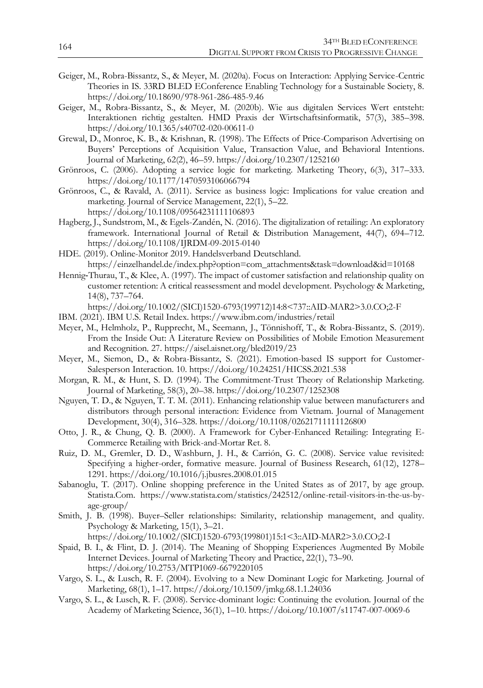- Geiger, M., Robra-Bissantz, S., & Meyer, M. (2020a). Focus on Interaction: Applying Service-Centric Theories in IS. 33RD BLED EConference Enabling Technology for a Sustainable Society, 8. https://doi.org/10.18690/978-961-286-485-9.46
- Geiger, M., Robra-Bissantz, S., & Meyer, M. (2020b). Wie aus digitalen Services Wert entsteht: Interaktionen richtig gestalten. HMD Praxis der Wirtschaftsinformatik, 57(3), 385–398. https://doi.org/10.1365/s40702-020-00611-0
- Grewal, D., Monroe, K. B., & Krishnan, R. (1998). The Effects of Price-Comparison Advertising on Buyers' Perceptions of Acquisition Value, Transaction Value, and Behavioral Intentions. Journal of Marketing, 62(2), 46–59. https://doi.org/10.2307/1252160
- Grönroos, C. (2006). Adopting a service logic for marketing. Marketing Theory, 6(3), 317–333. https://doi.org/10.1177/1470593106066794
- Grönroos, C., & Ravald, A. (2011). Service as business logic: Implications for value creation and marketing. Journal of Service Management, 22(1), 5–22. https://doi.org/10.1108/09564231111106893
- Hagberg, J., Sundstrom, M., & Egels-Zandén, N. (2016). The digitalization of retailing: An exploratory framework. International Journal of Retail & Distribution Management, 44(7), 694–712. https://doi.org/10.1108/IJRDM-09-2015-0140
- HDE. (2019). Online-Monitor 2019. Handelsverband Deutschland. https://einzelhandel.de/index.php?option=com\_attachments&task=download&id=10168
- Hennig‐Thurau, T., & Klee, A. (1997). The impact of customer satisfaction and relationship quality on customer retention: A critical reassessment and model development. Psychology & Marketing, 14(8), 737–764.

https://doi.org/10.1002/(SICI)1520-6793(199712)14:8<737::AID-MAR2>3.0.CO;2-F

- IBM. (2021). IBM U.S. Retail Index. https://www.ibm.com/industries/retail
- Meyer, M., Helmholz, P., Rupprecht, M., Seemann, J., Tönnishoff, T., & Robra-Bissantz, S. (2019). From the Inside Out: A Literature Review on Possibilities of Mobile Emotion Measurement and Recognition. 27. https://aisel.aisnet.org/bled2019/23
- Meyer, M., Siemon, D., & Robra-Bissantz, S. (2021). Emotion-based IS support for Customer-Salesperson Interaction. 10. https://doi.org/10.24251/HICSS.2021.538
- Morgan, R. M., & Hunt, S. D. (1994). The Commitment-Trust Theory of Relationship Marketing. Journal of Marketing, 58(3), 20–38. https://doi.org/10.2307/1252308
- Nguyen, T. D., & Nguyen, T. T. M. (2011). Enhancing relationship value between manufacturers and distributors through personal interaction: Evidence from Vietnam. Journal of Management Development, 30(4), 316–328. https://doi.org/10.1108/02621711111126800
- Otto, J. R., & Chung, Q. B. (2000). A Framework for Cyber-Enhanced Retailing: Integrating E-Commerce Retailing with Brick-and-Mortar Ret. 8.
- Ruiz, D. M., Gremler, D. D., Washburn, J. H., & Carrión, G. C. (2008). Service value revisited: Specifying a higher-order, formative measure. Journal of Business Research, 61(12), 1278– 1291. https://doi.org/10.1016/j.jbusres.2008.01.015
- Sabanoglu, T. (2017). Online shopping preference in the United States as of 2017, by age group. Statista.Com. https://www.statista.com/statistics/242512/online-retail-visitors-in-the-us-byage-group/
- Smith, J. B. (1998). Buyer–Seller relationships: Similarity, relationship management, and quality. Psychology & Marketing, 15(1), 3–21. https://doi.org/10.1002/(SICI)1520-6793(199801)15:1<3::AID-MAR2>3.0.CO;2-I
- Spaid, B. I., & Flint, D. J. (2014). The Meaning of Shopping Experiences Augmented By Mobile Internet Devices. Journal of Marketing Theory and Practice, 22(1), 73–90. https://doi.org/10.2753/MTP1069-6679220105
- Vargo, S. L., & Lusch, R. F. (2004). Evolving to a New Dominant Logic for Marketing. Journal of Marketing, 68(1), 1–17. https://doi.org/10.1509/jmkg.68.1.1.24036
- Vargo, S. L., & Lusch, R. F. (2008). Service-dominant logic: Continuing the evolution. Journal of the Academy of Marketing Science, 36(1), 1–10. https://doi.org/10.1007/s11747-007-0069-6